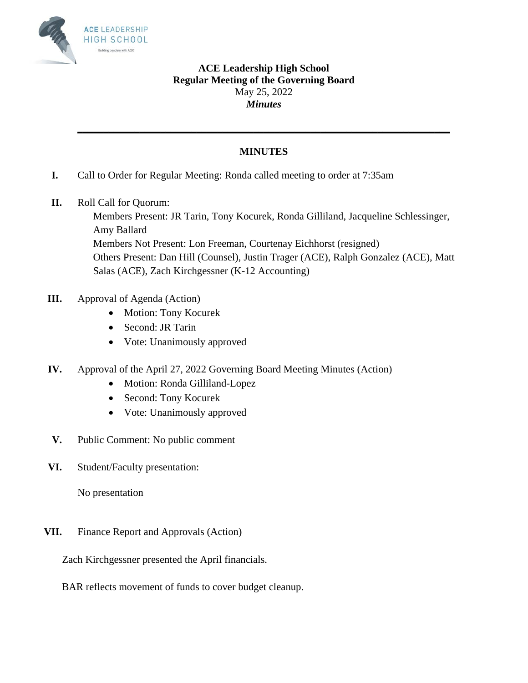

## **ACE Leadership High School Regular Meeting of the Governing Board** May 25, 2022 *Minutes*

## **MINUTES**

**\_\_\_\_\_\_\_\_\_\_\_\_\_\_\_\_\_\_\_\_\_\_\_\_\_\_\_\_\_\_\_\_\_\_\_\_\_\_\_\_\_\_\_\_\_\_\_\_\_\_\_\_\_\_\_\_\_\_\_\_\_\_\_\_\_\_\_\_\_\_\_\_**

- **I.** Call to Order for Regular Meeting: Ronda called meeting to order at 7:35am
- **II.** Roll Call for Quorum:

Members Present: JR Tarin, Tony Kocurek, Ronda Gilliland, Jacqueline Schlessinger, Amy Ballard Members Not Present: Lon Freeman, Courtenay Eichhorst (resigned) Others Present: Dan Hill (Counsel), Justin Trager (ACE), Ralph Gonzalez (ACE), Matt Salas (ACE), Zach Kirchgessner (K-12 Accounting)

- **III.** Approval of Agenda (Action)
	- Motion: Tony Kocurek
	- Second: JR Tarin
	- Vote: Unanimously approved
- **IV.** Approval of the April 27, 2022 Governing Board Meeting Minutes (Action)
	- Motion: Ronda Gilliland-Lopez
	- Second: Tony Kocurek
	- Vote: Unanimously approved
- **V.** Public Comment: No public comment
- **VI.** Student/Faculty presentation:

No presentation

**VII.** Finance Report and Approvals (Action)

Zach Kirchgessner presented the April financials.

BAR reflects movement of funds to cover budget cleanup.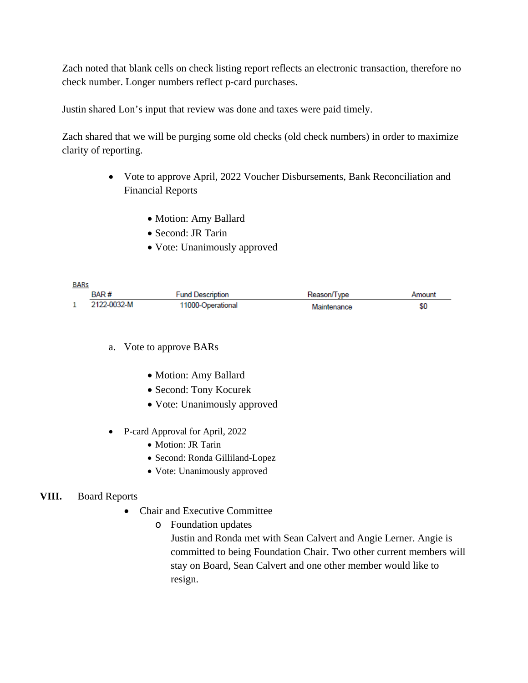Zach noted that blank cells on check listing report reflects an electronic transaction, therefore no check number. Longer numbers reflect p-card purchases.

Justin shared Lon's input that review was done and taxes were paid timely.

Zach shared that we will be purging some old checks (old check numbers) in order to maximize clarity of reporting.

- Vote to approve April, 2022 Voucher Disbursements, Bank Reconciliation and Financial Reports
	- Motion: Amy Ballard
	- Second: JR Tarin
	- Vote: Unanimously approved

| <b>BARs</b> |                  |                         |             |        |
|-------------|------------------|-------------------------|-------------|--------|
|             | BAR <sup>#</sup> | <b>Fund Description</b> | Reason/Type | Amount |
|             | 2122-0032-M      | 11000-Operational       | Maintenance | \$0    |

- a. Vote to approve BARs
	- Motion: Amy Ballard
	- Second: Tony Kocurek
	- Vote: Unanimously approved
- P-card Approval for April, 2022
	- Motion: JR Tarin
	- Second: Ronda Gilliland-Lopez
	- Vote: Unanimously approved

## **VIII.** Board Reports

- Chair and Executive Committee
	- o Foundation updates

Justin and Ronda met with Sean Calvert and Angie Lerner. Angie is committed to being Foundation Chair. Two other current members will stay on Board, Sean Calvert and one other member would like to resign.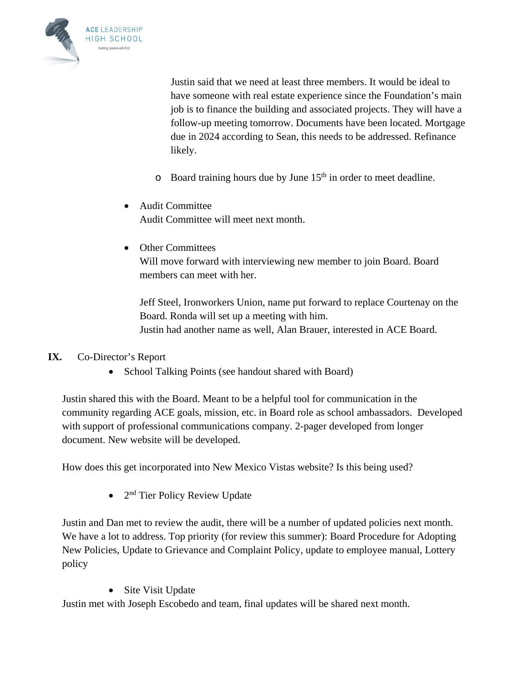

Justin said that we need at least three members. It would be ideal to have someone with real estate experience since the Foundation's main job is to finance the building and associated projects. They will have a follow-up meeting tomorrow. Documents have been located. Mortgage due in 2024 according to Sean, this needs to be addressed. Refinance likely.

- $\circ$  Board training hours due by June 15<sup>th</sup> in order to meet deadline.
- Audit Committee Audit Committee will meet next month.
- Other Committees

Will move forward with interviewing new member to join Board. Board members can meet with her.

Jeff Steel, Ironworkers Union, name put forward to replace Courtenay on the Board. Ronda will set up a meeting with him. Justin had another name as well, Alan Brauer, interested in ACE Board.

- **IX.** Co-Director's Report
	- School Talking Points (see handout shared with Board)

Justin shared this with the Board. Meant to be a helpful tool for communication in the community regarding ACE goals, mission, etc. in Board role as school ambassadors. Developed with support of professional communications company. 2-pager developed from longer document. New website will be developed.

How does this get incorporated into New Mexico Vistas website? Is this being used?

 $\bullet$  2<sup>nd</sup> Tier Policy Review Update

Justin and Dan met to review the audit, there will be a number of updated policies next month. We have a lot to address. Top priority (for review this summer): Board Procedure for Adopting New Policies, Update to Grievance and Complaint Policy, update to employee manual, Lottery policy

• Site Visit Update

Justin met with Joseph Escobedo and team, final updates will be shared next month.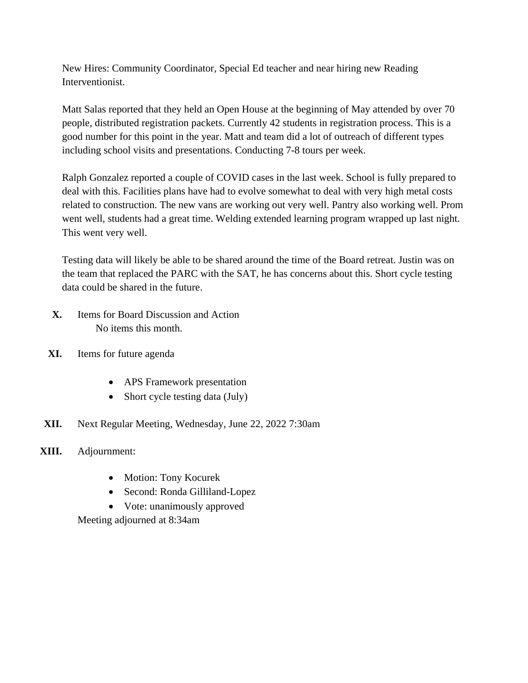New Hires: Community Coordinator, Special Ed teacher and near hiring new Reading Interventionist.

Matt Salas reported that they held an Open House at the beginning of May attended by over 70 people, distributed registration packets. Currently 42 students in registration process. This is a good number for this point in the year. Matt and team did a lot of outreach of different types including school visits and presentations. Conducting 7-8 tours per week.

Ralph Gonzalez reported a couple of COVID cases in the last week. School is fully prepared to deal with this. Facilities plans have had to evolve somewhat to deal with very high metal costs related to construction. The new vans are working out very well. Pantry also working well. Prom went well, students had a great time. Welding extended learning program wrapped up last night. This went very well.

Testing data will likely be able to be shared around the time of the Board retreat. Justin was on the team that replaced the PARC with the SAT, he has concerns about this. Short cycle testing data could be shared in the future.

- **X.** Items for Board Discussion and Action No items this month.
- **XI.** Items for future agenda
	- APS Framework presentation
	- Short cycle testing data (July)
- **XII.** Next Regular Meeting, Wednesday, June 22, 2022 7:30am
- **XIII.** Adjournment:
	- Motion: Tony Kocurek
	- Second: Ronda Gilliland-Lopez
	- Vote: unanimously approved

Meeting adjourned at 8:34am